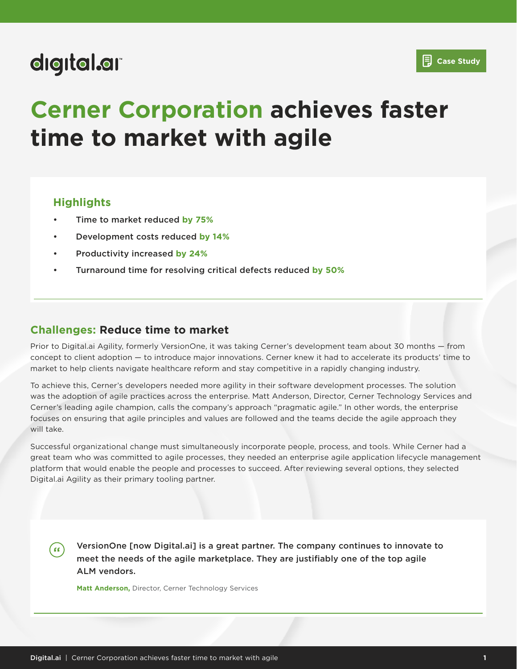## digital.ar

## **Case Study**

# **Cerner Corporation achieves faster time to market with agile**

#### **Highlights**

- Time to market reduced **by 75%**
- Development costs reduced **by 14%**
- Productivity increased **by 24%**
- Turnaround time for resolving critical defects reduced **by 50%**

#### **Challenges: Reduce time to market**

Prior to Digital.ai Agility, formerly VersionOne, it was taking Cerner's development team about 30 months — from concept to client adoption — to introduce major innovations. Cerner knew it had to accelerate its products' time to market to help clients navigate healthcare reform and stay competitive in a rapidly changing industry.

To achieve this, Cerner's developers needed more agility in their software development processes. The solution was the adoption of agile practices across the enterprise. Matt Anderson, Director, Cerner Technology Services and Cerner's leading agile champion, calls the company's approach "pragmatic agile." In other words, the enterprise focuses on ensuring that agile principles and values are followed and the teams decide the agile approach they will take.

Successful organizational change must simultaneously incorporate people, process, and tools. While Cerner had a great team who was committed to agile processes, they needed an enterprise agile application lifecycle management platform that would enable the people and processes to succeed. After reviewing several options, they selected Digital.ai Agility as their primary tooling partner.

VersionOne [now Digital.ai] is a great partner. The company continues to innovate to  $(s)$ meet the needs of the agile marketplace. They are justifiably one of the top agile ALM vendors.

**Matt Anderson,** Director, Cerner Technology Services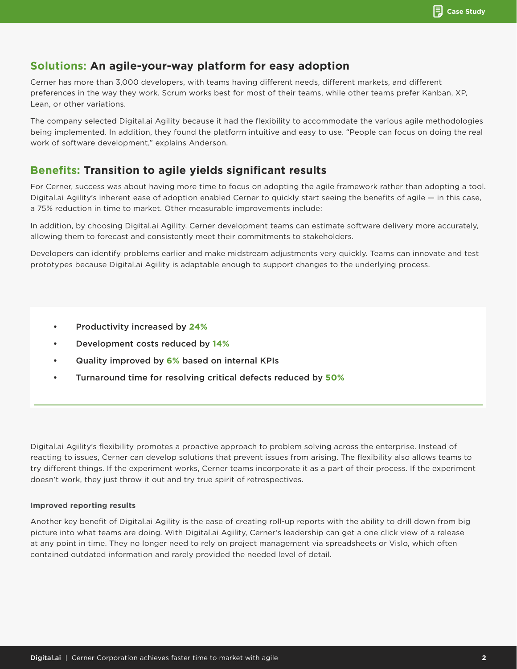### **Solutions: An agile-your-way platform for easy adoption**

Cerner has more than 3,000 developers, with teams having different needs, different markets, and different preferences in the way they work. Scrum works best for most of their teams, while other teams prefer Kanban, XP, Lean, or other variations.

The company selected Digital.ai Agility because it had the flexibility to accommodate the various agile methodologies being implemented. In addition, they found the platform intuitive and easy to use. "People can focus on doing the real work of software development," explains Anderson.

## **Benefits: Transition to agile yields significant results**

For Cerner, success was about having more time to focus on adopting the agile framework rather than adopting a tool. Digital.ai Agility's inherent ease of adoption enabled Cerner to quickly start seeing the benefits of agile — in this case, a 75% reduction in time to market. Other measurable improvements include:

In addition, by choosing Digital.ai Agility, Cerner development teams can estimate software delivery more accurately, allowing them to forecast and consistently meet their commitments to stakeholders.

Developers can identify problems earlier and make midstream adjustments very quickly. Teams can innovate and test prototypes because Digital.ai Agility is adaptable enough to support changes to the underlying process.

- Productivity increased by **24%**
- Development costs reduced by **14%**
- Quality improved by **6%** based on internal KPIs
- Turnaround time for resolving critical defects reduced by **50%**

Digital.ai Agility's flexibility promotes a proactive approach to problem solving across the enterprise. Instead of reacting to issues, Cerner can develop solutions that prevent issues from arising. The flexibility also allows teams to try different things. If the experiment works, Cerner teams incorporate it as a part of their process. If the experiment doesn't work, they just throw it out and try true spirit of retrospectives.

#### **Improved reporting results**

Another key benefit of Digital.ai Agility is the ease of creating roll-up reports with the ability to drill down from big picture into what teams are doing. With Digital.ai Agility, Cerner's leadership can get a one click view of a release at any point in time. They no longer need to rely on project management via spreadsheets or Vislo, which often contained outdated information and rarely provided the needed level of detail.